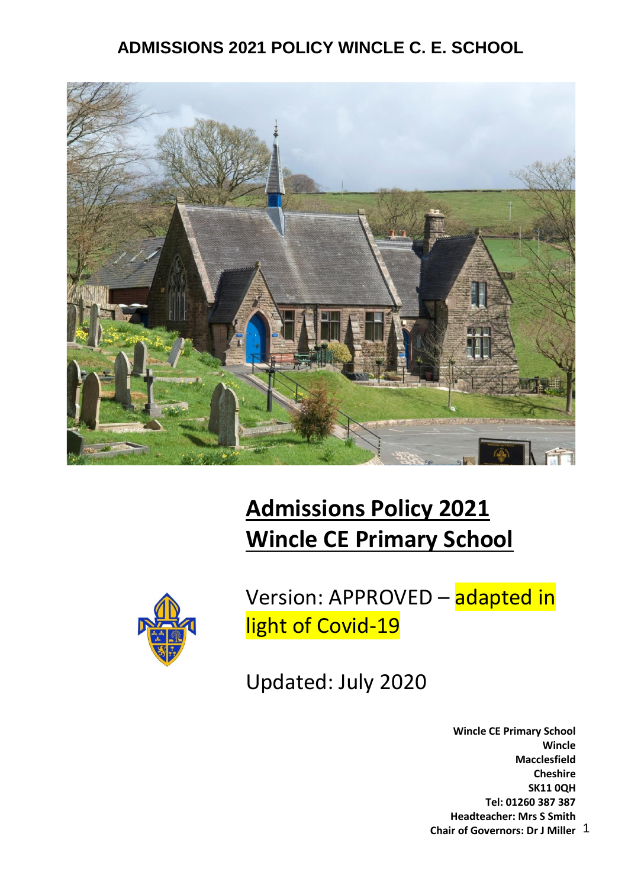

# **Admissions Policy 2021 Wincle CE Primary School**



Version: APPROVED – adapted in light of Covid-19

Updated: July 2020

1 **Chair of Governors: Dr J Miller Wincle CE Primary School Wincle Macclesfield Cheshire SK11 0QH Tel: 01260 387 387 Headteacher: Mrs S Smith**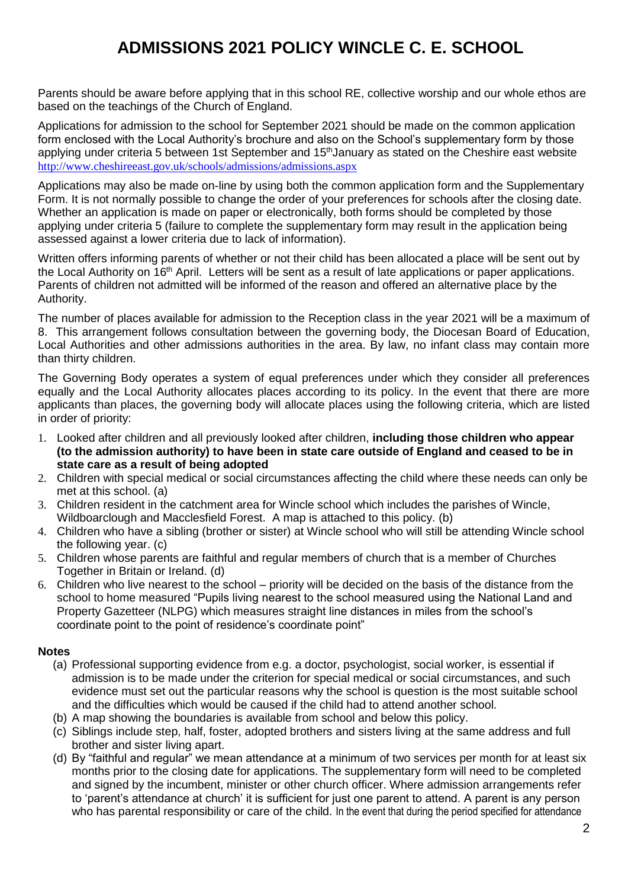Parents should be aware before applying that in this school RE, collective worship and our whole ethos are based on the teachings of the Church of England.

Applications for admission to the school for September 2021 should be made on the common application form enclosed with the Local Authority's brochure and also on the School's supplementary form by those applying under criteria 5 between 1st September and 15<sup>th</sup> January as stated on the Cheshire east website <http://www.cheshireeast.gov.uk/schools/admissions/admissions.aspx>

Applications may also be made on-line by using both the common application form and the Supplementary Form. It is not normally possible to change the order of your preferences for schools after the closing date. Whether an application is made on paper or electronically, both forms should be completed by those applying under criteria 5 (failure to complete the supplementary form may result in the application being assessed against a lower criteria due to lack of information).

Written offers informing parents of whether or not their child has been allocated a place will be sent out by the Local Authority on 16<sup>th</sup> April. Letters will be sent as a result of late applications or paper applications. Parents of children not admitted will be informed of the reason and offered an alternative place by the Authority.

The number of places available for admission to the Reception class in the year 2021 will be a maximum of 8. This arrangement follows consultation between the governing body, the Diocesan Board of Education, Local Authorities and other admissions authorities in the area. By law, no infant class may contain more than thirty children.

The Governing Body operates a system of equal preferences under which they consider all preferences equally and the Local Authority allocates places according to its policy. In the event that there are more applicants than places, the governing body will allocate places using the following criteria, which are listed in order of priority:

- 1. Looked after children and all previously looked after children, **including those children who appear (to the admission authority) to have been in state care outside of England and ceased to be in state care as a result of being adopted**
- 2. Children with special medical or social circumstances affecting the child where these needs can only be met at this school. (a)
- 3. Children resident in the catchment area for Wincle school which includes the parishes of Wincle, Wildboarclough and Macclesfield Forest. A map is attached to this policy. (b)
- 4. Children who have a sibling (brother or sister) at Wincle school who will still be attending Wincle school the following year. (c)
- 5. Children whose parents are faithful and regular members of church that is a member of Churches Together in Britain or Ireland. (d)
- 6. Children who live nearest to the school priority will be decided on the basis of the distance from the school to home measured "Pupils living nearest to the school measured using the National Land and Property Gazetteer (NLPG) which measures straight line distances in miles from the school's coordinate point to the point of residence's coordinate point"

#### **Notes**

- (a) Professional supporting evidence from e.g. a doctor, psychologist, social worker, is essential if admission is to be made under the criterion for special medical or social circumstances, and such evidence must set out the particular reasons why the school is question is the most suitable school and the difficulties which would be caused if the child had to attend another school.
- (b) A map showing the boundaries is available from school and below this policy.
- (c) Siblings include step, half, foster, adopted brothers and sisters living at the same address and full brother and sister living apart.
- (d) By "faithful and regular" we mean attendance at a minimum of two services per month for at least six months prior to the closing date for applications. The supplementary form will need to be completed and signed by the incumbent, minister or other church officer. Where admission arrangements refer to 'parent's attendance at church' it is sufficient for just one parent to attend. A parent is any person who has parental responsibility or care of the child. In the event that during the period specified for attendance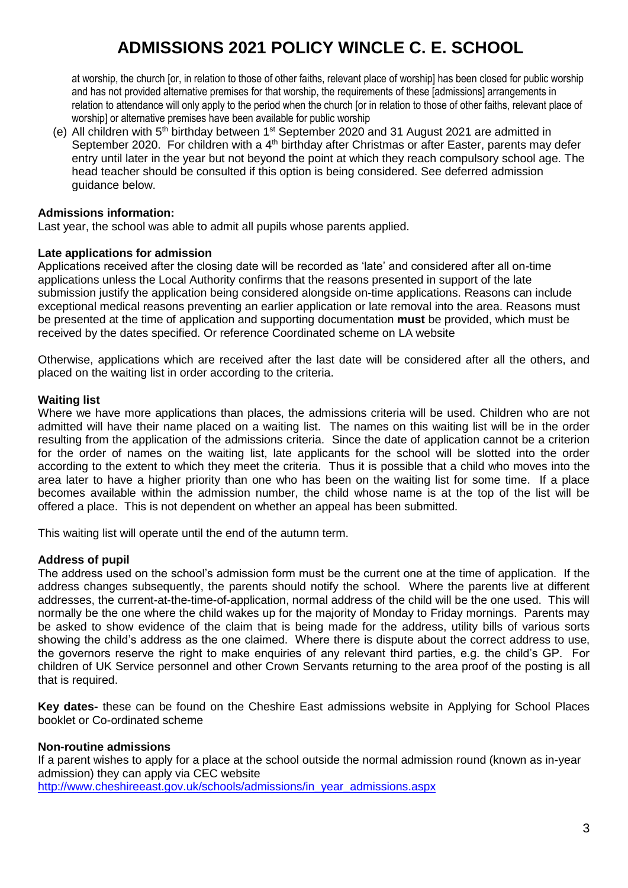at worship, the church [or, in relation to those of other faiths, relevant place of worship] has been closed for public worship and has not provided alternative premises for that worship, the requirements of these [admissions] arrangements in relation to attendance will only apply to the period when the church [or in relation to those of other faiths, relevant place of worship] or alternative premises have been available for public worship

(e) All children with  $5<sup>th</sup>$  birthday between  $1<sup>st</sup>$  September 2020 and 31 August 2021 are admitted in September 2020. For children with a 4<sup>th</sup> birthday after Christmas or after Easter, parents may defer entry until later in the year but not beyond the point at which they reach compulsory school age. The head teacher should be consulted if this option is being considered. See deferred admission guidance below.

#### **Admissions information:**

Last year, the school was able to admit all pupils whose parents applied.

#### **Late applications for admission**

Applications received after the closing date will be recorded as 'late' and considered after all on-time applications unless the Local Authority confirms that the reasons presented in support of the late submission justify the application being considered alongside on-time applications. Reasons can include exceptional medical reasons preventing an earlier application or late removal into the area. Reasons must be presented at the time of application and supporting documentation **must** be provided, which must be received by the dates specified. Or reference Coordinated scheme on LA website

Otherwise, applications which are received after the last date will be considered after all the others, and placed on the waiting list in order according to the criteria.

#### **Waiting list**

Where we have more applications than places, the admissions criteria will be used. Children who are not admitted will have their name placed on a waiting list. The names on this waiting list will be in the order resulting from the application of the admissions criteria. Since the date of application cannot be a criterion for the order of names on the waiting list, late applicants for the school will be slotted into the order according to the extent to which they meet the criteria. Thus it is possible that a child who moves into the area later to have a higher priority than one who has been on the waiting list for some time. If a place becomes available within the admission number, the child whose name is at the top of the list will be offered a place. This is not dependent on whether an appeal has been submitted.

This waiting list will operate until the end of the autumn term.

#### **Address of pupil**

The address used on the school's admission form must be the current one at the time of application. If the address changes subsequently, the parents should notify the school. Where the parents live at different addresses, the current-at-the-time-of-application, normal address of the child will be the one used. This will normally be the one where the child wakes up for the majority of Monday to Friday mornings. Parents may be asked to show evidence of the claim that is being made for the address, utility bills of various sorts showing the child's address as the one claimed. Where there is dispute about the correct address to use, the governors reserve the right to make enquiries of any relevant third parties, e.g. the child's GP. For children of UK Service personnel and other Crown Servants returning to the area proof of the posting is all that is required.

**Key dates-** these can be found on the Cheshire East admissions website in Applying for School Places booklet or Co-ordinated scheme

#### **Non-routine admissions**

If a parent wishes to apply for a place at the school outside the normal admission round (known as in-year admission) they can apply via CEC website

[http://www.cheshireeast.gov.uk/schools/admissions/in\\_year\\_admissions.aspx](https://remote.cheshire.gov.uk/owa/head@wincle.cheshire.sch.uk/,DanaInfo=.aoxcfpzy0m0Jz64qwu9z1.zVz01IH6IKe8JI+redir.aspx?REF=T-ute8DSIhGFzu-pNvDaow7Koc6D70LiF0QC7fmL4COpuWUt7ZLUCAFodHRwOi8vd3d3LmNoZXNoaXJlZWFzdC5nb3YudWsvc2Nob29scy9hZG1pc3Npb25zL2luX3llYXJfYWRtaXNzaW9ucy5hc3B4)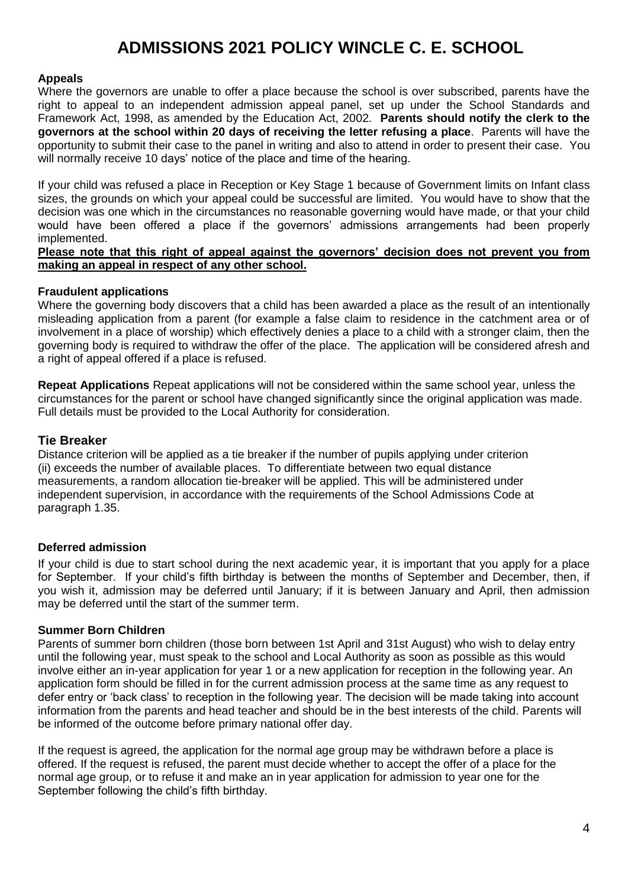#### **Appeals**

Where the governors are unable to offer a place because the school is over subscribed, parents have the right to appeal to an independent admission appeal panel, set up under the School Standards and Framework Act, 1998, as amended by the Education Act, 2002. **Parents should notify the clerk to the governors at the school within 20 days of receiving the letter refusing a place**. Parents will have the opportunity to submit their case to the panel in writing and also to attend in order to present their case. You will normally receive 10 days' notice of the place and time of the hearing.

If your child was refused a place in Reception or Key Stage 1 because of Government limits on Infant class sizes, the grounds on which your appeal could be successful are limited. You would have to show that the decision was one which in the circumstances no reasonable governing would have made, or that your child would have been offered a place if the governors' admissions arrangements had been properly implemented.

#### **Please note that this right of appeal against the governors' decision does not prevent you from making an appeal in respect of any other school.**

#### **Fraudulent applications**

Where the governing body discovers that a child has been awarded a place as the result of an intentionally misleading application from a parent (for example a false claim to residence in the catchment area or of involvement in a place of worship) which effectively denies a place to a child with a stronger claim, then the governing body is required to withdraw the offer of the place. The application will be considered afresh and a right of appeal offered if a place is refused.

**Repeat Applications** Repeat applications will not be considered within the same school year, unless the circumstances for the parent or school have changed significantly since the original application was made. Full details must be provided to the Local Authority for consideration.

#### **Tie Breaker**

Distance criterion will be applied as a tie breaker if the number of pupils applying under criterion (ii) exceeds the number of available places. To differentiate between two equal distance measurements, a random allocation tie-breaker will be applied. This will be administered under independent supervision, in accordance with the requirements of the School Admissions Code at paragraph 1.35.

#### **Deferred admission**

If your child is due to start school during the next academic year, it is important that you apply for a place for September. If your child's fifth birthday is between the months of September and December, then, if you wish it, admission may be deferred until January; if it is between January and April, then admission may be deferred until the start of the summer term.

#### **Summer Born Children**

Parents of summer born children (those born between 1st April and 31st August) who wish to delay entry until the following year, must speak to the school and Local Authority as soon as possible as this would involve either an in-year application for year 1 or a new application for reception in the following year. An application form should be filled in for the current admission process at the same time as any request to defer entry or 'back class' to reception in the following year. The decision will be made taking into account information from the parents and head teacher and should be in the best interests of the child. Parents will be informed of the outcome before primary national offer day.

If the request is agreed, the application for the normal age group may be withdrawn before a place is offered. If the request is refused, the parent must decide whether to accept the offer of a place for the normal age group, or to refuse it and make an in year application for admission to year one for the September following the child's fifth birthday.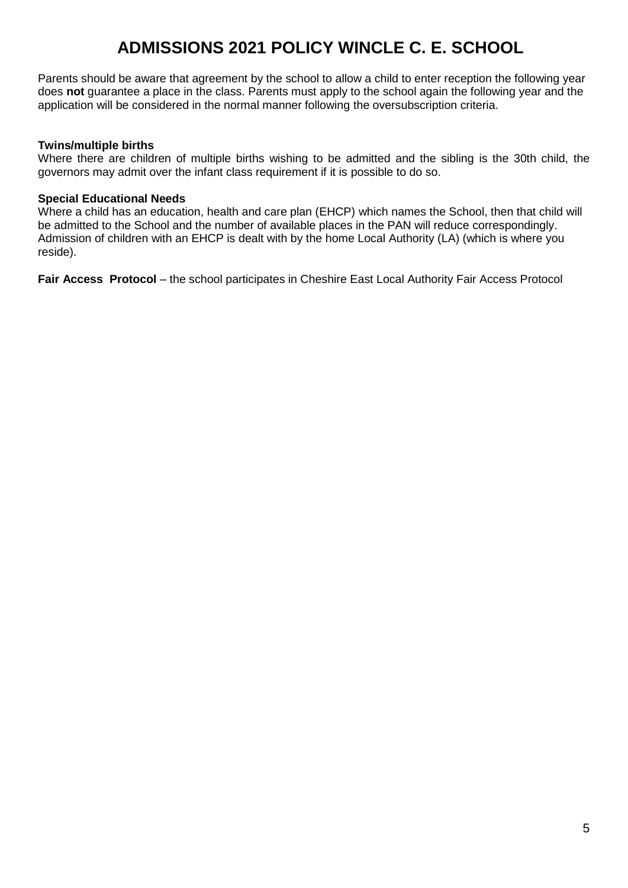Parents should be aware that agreement by the school to allow a child to enter reception the following year does **not** guarantee a place in the class. Parents must apply to the school again the following year and the application will be considered in the normal manner following the oversubscription criteria.

#### **Twins/multiple births**

Where there are children of multiple births wishing to be admitted and the sibling is the 30th child, the governors may admit over the infant class requirement if it is possible to do so.

#### **Special Educational Needs**

Where a child has an education, health and care plan (EHCP) which names the School, then that child will be admitted to the School and the number of available places in the PAN will reduce correspondingly. Admission of children with an EHCP is dealt with by the home Local Authority (LA) (which is where you reside).

**Fair Access Protocol** – the school participates in Cheshire East Local Authority Fair Access Protocol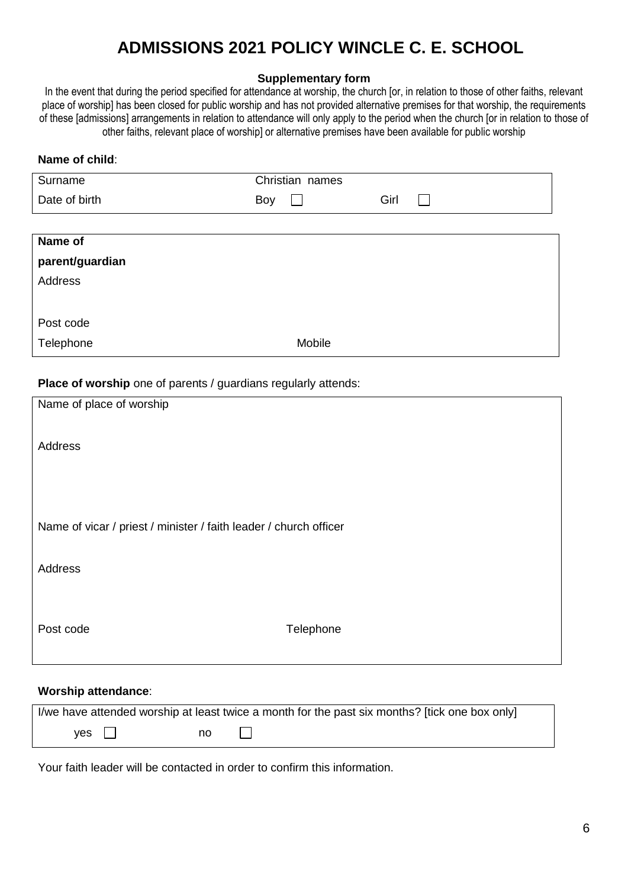#### **Supplementary form**

In the event that during the period specified for attendance at worship, the church [or, in relation to those of other faiths, relevant place of worship] has been closed for public worship and has not provided alternative premises for that worship, the requirements of these [admissions] arrangements in relation to attendance will only apply to the period when the church [or in relation to those of other faiths, relevant place of worship] or alternative premises have been available for public worship

| Christian names<br>Surname<br>Date of birth<br>Girl<br>Boy<br>Name of<br>parent/guardian<br><b>Address</b><br>Post code<br>Telephone<br>Mobile<br>Place of worship one of parents / guardians regularly attends:<br>Name of place of worship<br><b>Address</b><br>Name of vicar / priest / minister / faith leader / church officer<br><b>Address</b><br>Post code<br>Telephone<br><b>Worship attendance:</b><br>I/we have attended worship at least twice a month for the past six months? [tick one box only] | Name of child: |  |  |  |  |  |
|-----------------------------------------------------------------------------------------------------------------------------------------------------------------------------------------------------------------------------------------------------------------------------------------------------------------------------------------------------------------------------------------------------------------------------------------------------------------------------------------------------------------|----------------|--|--|--|--|--|
|                                                                                                                                                                                                                                                                                                                                                                                                                                                                                                                 |                |  |  |  |  |  |
|                                                                                                                                                                                                                                                                                                                                                                                                                                                                                                                 |                |  |  |  |  |  |
|                                                                                                                                                                                                                                                                                                                                                                                                                                                                                                                 |                |  |  |  |  |  |
|                                                                                                                                                                                                                                                                                                                                                                                                                                                                                                                 |                |  |  |  |  |  |
|                                                                                                                                                                                                                                                                                                                                                                                                                                                                                                                 |                |  |  |  |  |  |
|                                                                                                                                                                                                                                                                                                                                                                                                                                                                                                                 |                |  |  |  |  |  |
|                                                                                                                                                                                                                                                                                                                                                                                                                                                                                                                 |                |  |  |  |  |  |
|                                                                                                                                                                                                                                                                                                                                                                                                                                                                                                                 |                |  |  |  |  |  |
|                                                                                                                                                                                                                                                                                                                                                                                                                                                                                                                 |                |  |  |  |  |  |
|                                                                                                                                                                                                                                                                                                                                                                                                                                                                                                                 |                |  |  |  |  |  |
|                                                                                                                                                                                                                                                                                                                                                                                                                                                                                                                 |                |  |  |  |  |  |
|                                                                                                                                                                                                                                                                                                                                                                                                                                                                                                                 |                |  |  |  |  |  |
|                                                                                                                                                                                                                                                                                                                                                                                                                                                                                                                 |                |  |  |  |  |  |
|                                                                                                                                                                                                                                                                                                                                                                                                                                                                                                                 |                |  |  |  |  |  |
|                                                                                                                                                                                                                                                                                                                                                                                                                                                                                                                 |                |  |  |  |  |  |
|                                                                                                                                                                                                                                                                                                                                                                                                                                                                                                                 |                |  |  |  |  |  |
|                                                                                                                                                                                                                                                                                                                                                                                                                                                                                                                 |                |  |  |  |  |  |
|                                                                                                                                                                                                                                                                                                                                                                                                                                                                                                                 |                |  |  |  |  |  |
|                                                                                                                                                                                                                                                                                                                                                                                                                                                                                                                 |                |  |  |  |  |  |
|                                                                                                                                                                                                                                                                                                                                                                                                                                                                                                                 |                |  |  |  |  |  |
|                                                                                                                                                                                                                                                                                                                                                                                                                                                                                                                 |                |  |  |  |  |  |
|                                                                                                                                                                                                                                                                                                                                                                                                                                                                                                                 |                |  |  |  |  |  |
|                                                                                                                                                                                                                                                                                                                                                                                                                                                                                                                 |                |  |  |  |  |  |
|                                                                                                                                                                                                                                                                                                                                                                                                                                                                                                                 |                |  |  |  |  |  |
|                                                                                                                                                                                                                                                                                                                                                                                                                                                                                                                 |                |  |  |  |  |  |
|                                                                                                                                                                                                                                                                                                                                                                                                                                                                                                                 |                |  |  |  |  |  |
|                                                                                                                                                                                                                                                                                                                                                                                                                                                                                                                 |                |  |  |  |  |  |
| yes<br>no                                                                                                                                                                                                                                                                                                                                                                                                                                                                                                       |                |  |  |  |  |  |

Your faith leader will be contacted in order to confirm this information.